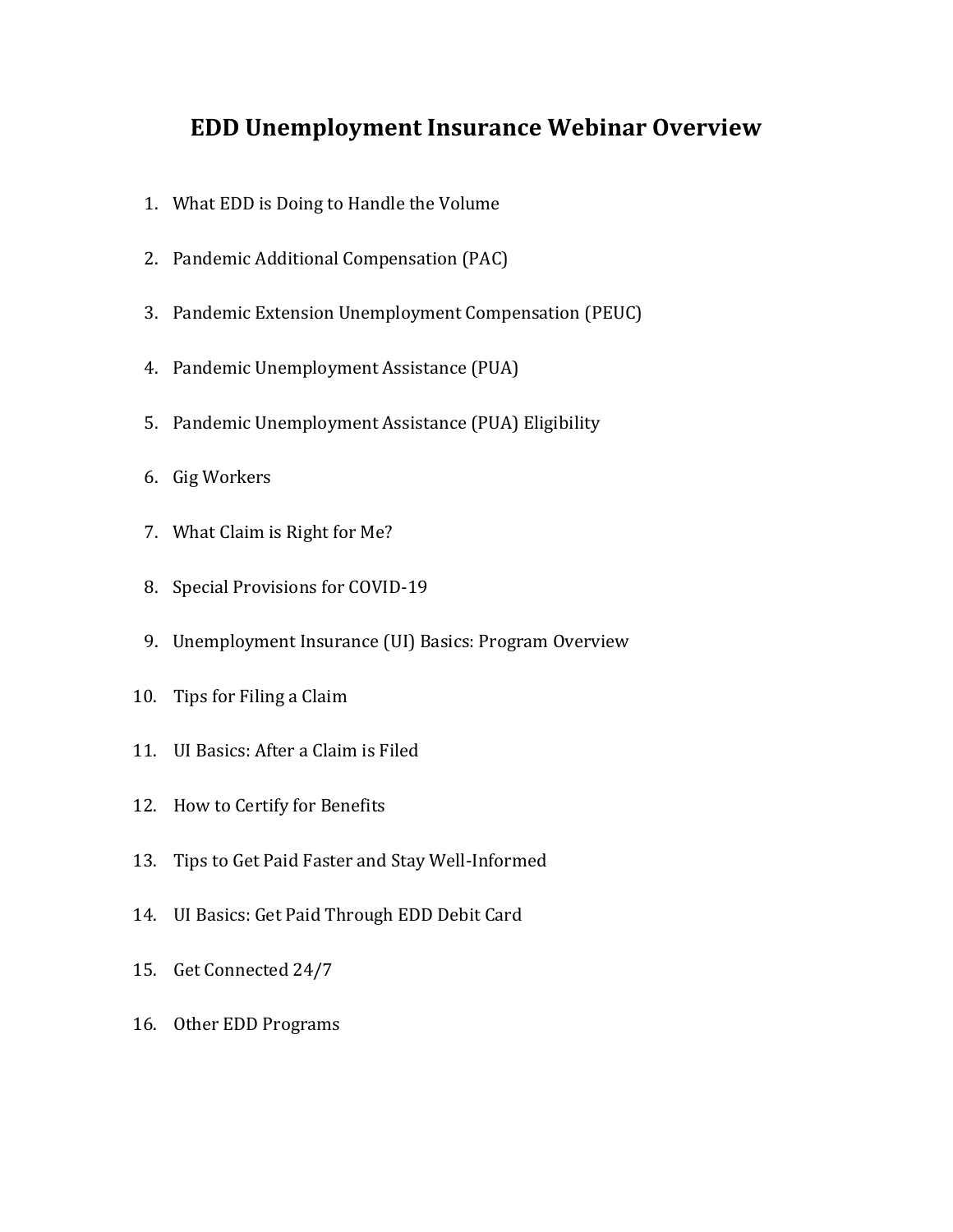# **EDD Unemployment Insurance Webinar Overview**

- 1. What EDD is Doing to Handle the Volume
- 2. Pandemic Additional Compensation (PAC)
- 3. Pandemic Extension Unemployment Compensation (PEUC)
- 4. Pandemic Unemployment Assistance (PUA)
- 5. Pandemic Unemployment Assistance (PUA) Eligibility
- 6. Gig Workers
- 7. What Claim is Right for Me?
- 8. Special Provisions for COVID-19
- 9. Unemployment Insurance (UI) Basics: Program Overview
- 10. Tips for Filing a Claim
- 11. UI Basics: After a Claim is Filed
- 12. How to Certify for Benefits
- 13. Tips to Get Paid Faster and Stay Well-Informed
- 14. UI Basics: Get Paid Through EDD Debit Card
- 15. Get Connected 24/7
- 16. Other EDD Programs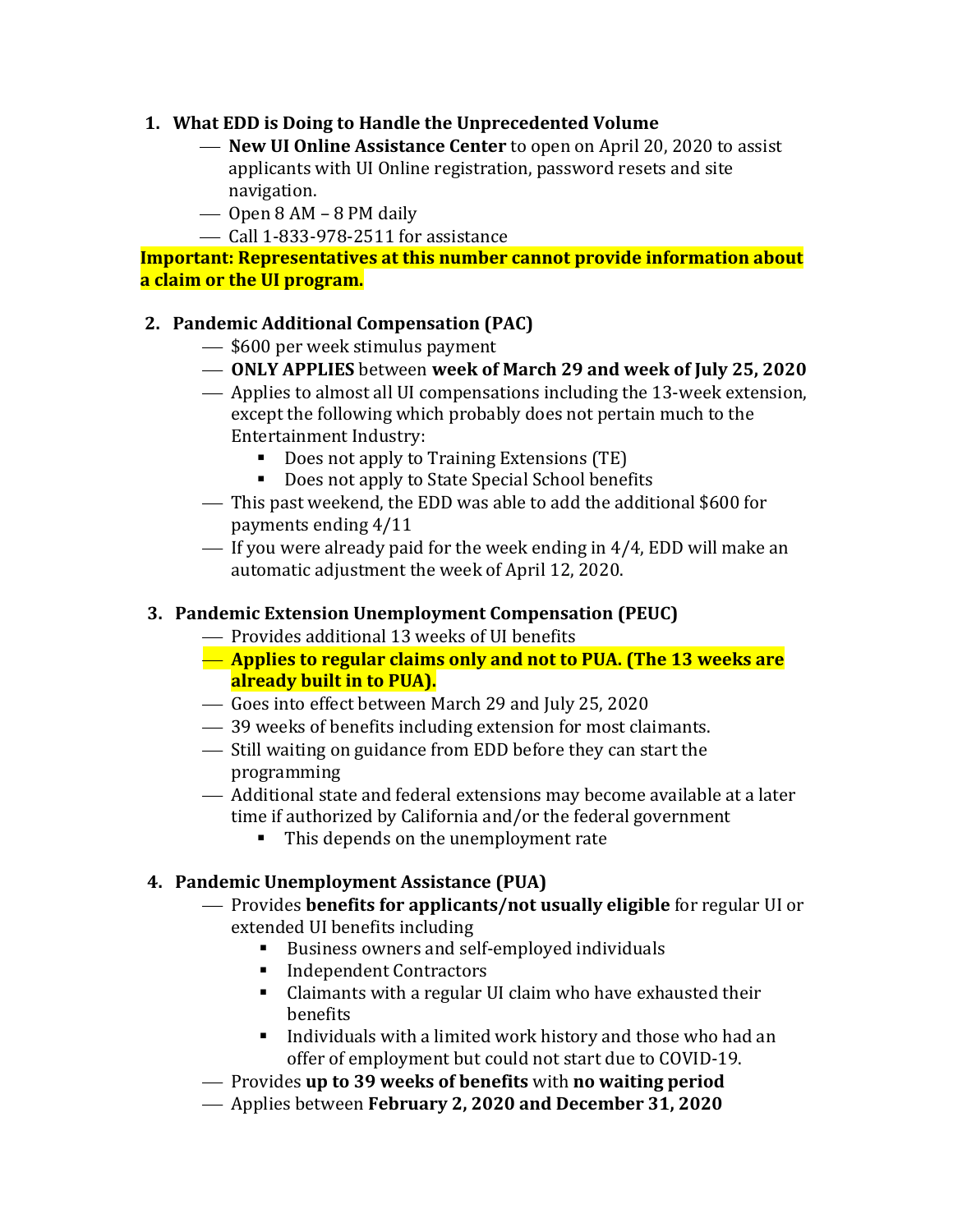#### **1. What EDD is Doing to Handle the Unprecedented Volume**

- ⎯ **New UI Online Assistance Center** to open on April 20, 2020 to assist applicants with UI Online registration, password resets and site navigation.
- Open 8 AM 8 PM daily
- $-$  Call 1-833-978-2511 for assistance

**Important: Representatives at this number cannot provide information about a claim or the UI program.**

### **2. Pandemic Additional Compensation (PAC)**

- $-$  \$600 per week stimulus payment
- ⎯ **ONLY APPLIES** between **week of March 29 and week of July 25, 2020**
- $-$  Applies to almost all UI compensations including the 13-week extension, except the following which probably does not pertain much to the Entertainment Industry:
	- Does not apply to Training Extensions (TE)
	- Does not apply to State Special School benefits
- ⎯ This past weekend, the EDD was able to add the additional \$600 for payments ending 4/11
- $\overline{\phantom{a}}$  If you were already paid for the week ending in 4/4, EDD will make an automatic adjustment the week of April 12, 2020.

## **3. Pandemic Extension Unemployment Compensation (PEUC)**

- ⎯ Provides additional 13 weeks of UI benefits
- ⎯ **Applies to regular claims only and not to PUA. (The 13 weeks are already built in to PUA).**
- ⎯ Goes into effect between March 29 and July 25, 2020
- $-$  39 weeks of benefits including extension for most claimants.
- ⎯ Still waiting on guidance from EDD before they can start the programming
- $-$  Additional state and federal extensions may become available at a later time if authorized by California and/or the federal government
	- This depends on the unemployment rate

## **4. Pandemic Unemployment Assistance (PUA)**

- ⎯ Provides **benefits for applicants/not usually eligible** for regular UI or extended UI benefits including
	- Business owners and self-employed individuals
	- **Independent Contractors**
	- Claimants with a regular UI claim who have exhausted their benefits
	- Individuals with a limited work history and those who had an offer of employment but could not start due to COVID-19.
- ⎯ Provides **up to 39 weeks of benefits** with **no waiting period**
- ⎯ Applies between **February 2, 2020 and December 31, 2020**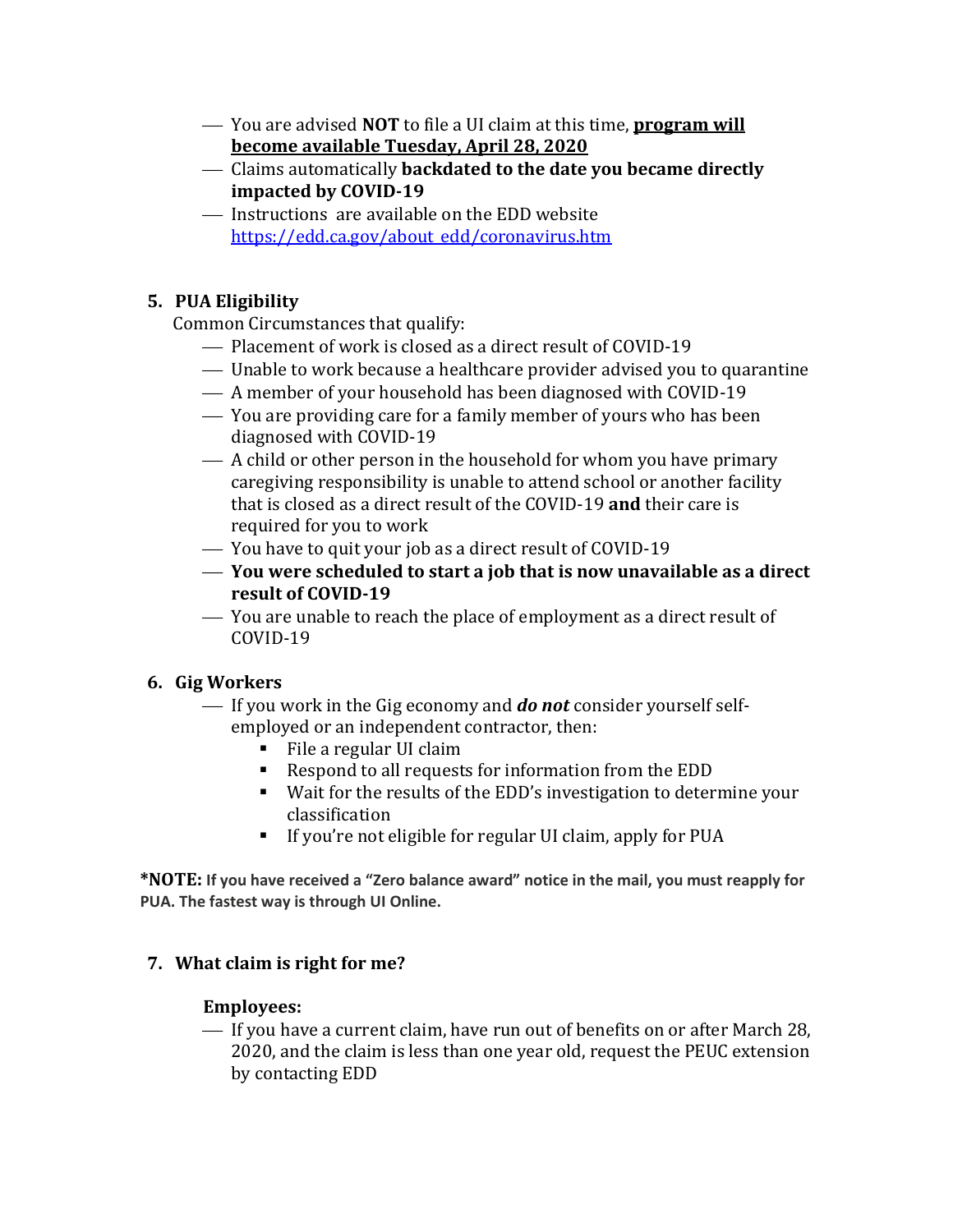- ⎯ You are advised **NOT** to file a UI claim at this time, **program will become available Tuesday, April 28, 2020**
- ⎯ Claims automatically **backdated to the date you became directly impacted by COVID-19**
- ⎯ Instructions are available on the EDD website [https://edd.ca.gov/about\\_edd/coronavirus.htm](https://edd.ca.gov/about_edd/coronavirus.htm)

## **5. PUA Eligibility**

Common Circumstances that qualify:

- $-$  Placement of work is closed as a direct result of COVID-19
- ⎯ Unable to work because a healthcare provider advised you to quarantine
- $-$  A member of your household has been diagnosed with COVID-19
- ⎯ You are providing care for a family member of yours who has been diagnosed with COVID-19
- $-$  A child or other person in the household for whom you have primary caregiving responsibility is unable to attend school or another facility that is closed as a direct result of the COVID-19 **and** their care is required for you to work
- ⎯ You have to quit your job as a direct result of COVID-19
- ⎯ **You were scheduled to start a job that is now unavailable as a direct result of COVID-19**
- ⎯ You are unable to reach the place of employment as a direct result of COVID-19

### **6. Gig Workers**

- ⎯ If you work in the Gig economy and *do not* consider yourself selfemployed or an independent contractor, then:
	- File a regular UI claim
	- Respond to all requests for information from the EDD
	- Wait for the results of the EDD's investigation to determine your classification
	- If you're not eligible for regular UI claim, apply for PUA

**\*NOTE: If you have received a "Zero balance award" notice in the mail, you must reapply for PUA. The fastest way is through UI Online.**

### **7. What claim is right for me?**

#### **Employees:**

⎯ If you have a current claim, have run out of benefits on or after March 28, 2020, and the claim is less than one year old, request the PEUC extension by contacting EDD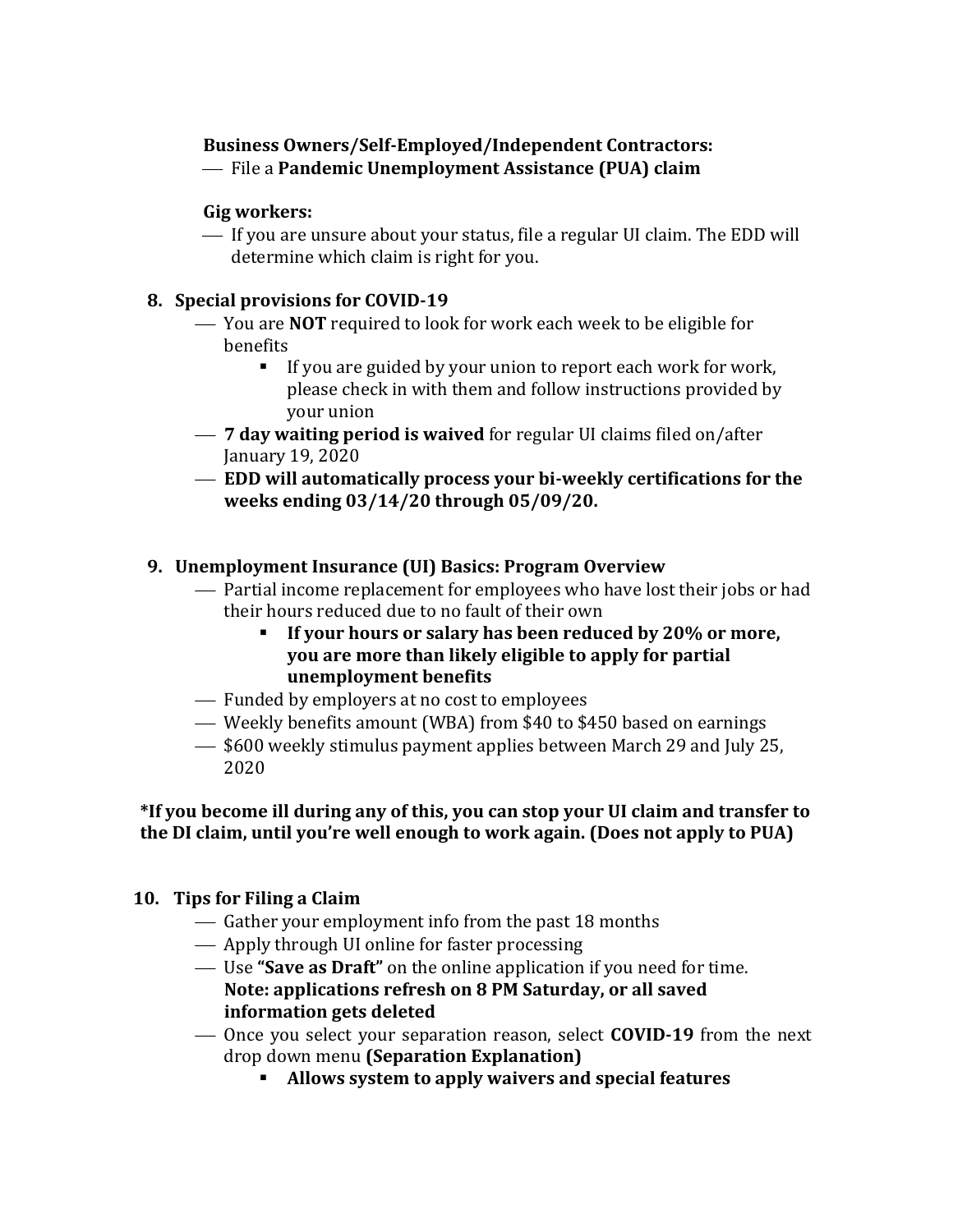## **Business Owners/Self-Employed/Independent Contractors:**  ⎯ File a **Pandemic Unemployment Assistance (PUA) claim**

#### **Gig workers:**

⎯ If you are unsure about your status, file a regular UI claim. The EDD will determine which claim is right for you.

#### **8. Special provisions for COVID-19**

- ⎯ You are **NOT** required to look for work each week to be eligible for benefits
	- **■** If you are guided by your union to report each work for work, please check in with them and follow instructions provided by your union
- ⎯ **7 day waiting period is waived** for regular UI claims filed on/after January 19, 2020
- ⎯ **EDD will automatically process your bi-weekly certifications for the weeks ending 03/14/20 through 05/09/20.**

### **9. Unemployment Insurance (UI) Basics: Program Overview**

- $-$  Partial income replacement for employees who have lost their jobs or had their hours reduced due to no fault of their own
	- **If your hours or salary has been reduced by 20% or more, you are more than likely eligible to apply for partial unemployment benefits**
- ⎯ Funded by employers at no cost to employees
- ⎯ Weekly benefits amount (WBA) from \$40 to \$450 based on earnings
- ⎯ \$600 weekly stimulus payment applies between March 29 and July 25, 2020

#### **\*If you become ill during any of this, you can stop your UI claim and transfer to the DI claim, until you're well enough to work again. (Does not apply to PUA)**

#### **10. Tips for Filing a Claim**

- ⎯ Gather your employment info from the past 18 months
- ⎯ Apply through UI online for faster processing
- ⎯ Use **"Save as Draft"** on the online application if you need for time. **Note: applications refresh on 8 PM Saturday, or all saved information gets deleted**
- ⎯ Once you select your separation reason, select **COVID-19** from the next drop down menu **(Separation Explanation)**
	- **Allows system to apply waivers and special features**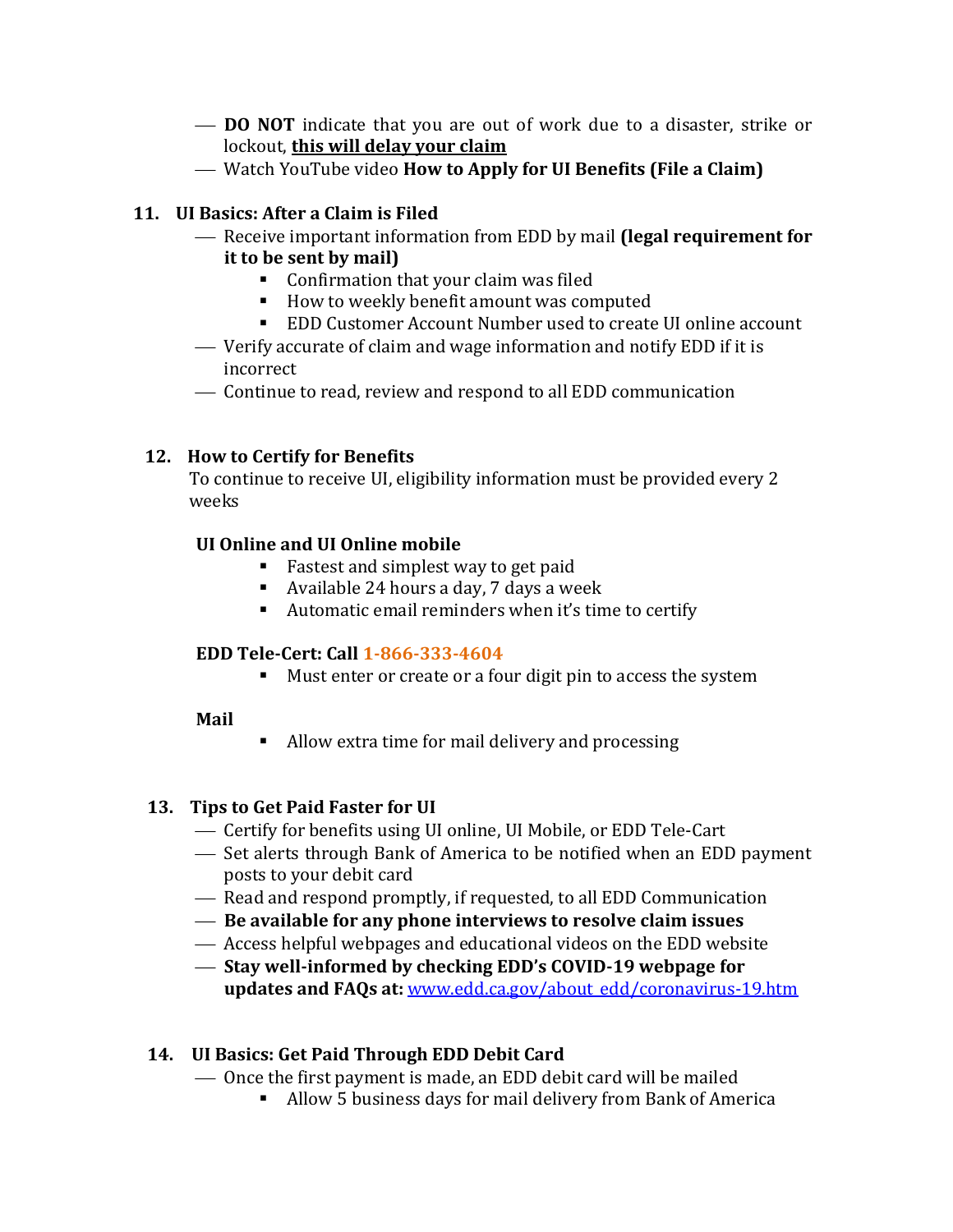- ⎯ **DO NOT** indicate that you are out of work due to a disaster, strike or lockout, **this will delay your claim**
- ⎯ Watch YouTube video **How to Apply for UI Benefits (File a Claim)**

## **11. UI Basics: After a Claim is Filed**

- ⎯ Receive important information from EDD by mail **(legal requirement for it to be sent by mail)**
	- Confirmation that your claim was filed
	- How to weekly benefit amount was computed
	- EDD Customer Account Number used to create UI online account
- ⎯ Verify accurate of claim and wage information and notify EDD if it is incorrect
- ⎯ Continue to read, review and respond to all EDD communication

## **12. How to Certify for Benefits**

To continue to receive UI, eligibility information must be provided every 2 weeks

## **UI Online and UI Online mobile**

- Fastest and simplest way to get paid
- Available 24 hours a day, 7 days a week
- Automatic email reminders when it's time to certify

## **EDD Tele-Cert: Call 1-866-333-4604**

■ Must enter or create or a four digit pin to access the system

### **Mail**

■ Allow extra time for mail delivery and processing

### **13. Tips to Get Paid Faster for UI**

- ⎯ Certify for benefits using UI online, UI Mobile, or EDD Tele-Cart
- ⎯ Set alerts through Bank of America to be notified when an EDD payment posts to your debit card
- $-$  Read and respond promptly, if requested, to all EDD Communication
- ⎯ **Be available for any phone interviews to resolve claim issues**
- ⎯ Access helpful webpages and educational videos on the EDD website
- ⎯ **Stay well-informed by checking EDD's COVID-19 webpage for updates and FAQs at:** [www.edd.ca.gov/about\\_edd/coronavirus-19.htm](http://www.edd.ca.gov/about_edd/coronavirus-19.htm)

## **14. UI Basics: Get Paid Through EDD Debit Card**

- $\sim$  Once the first payment is made, an EDD debit card will be mailed
	- Allow 5 business days for mail delivery from Bank of America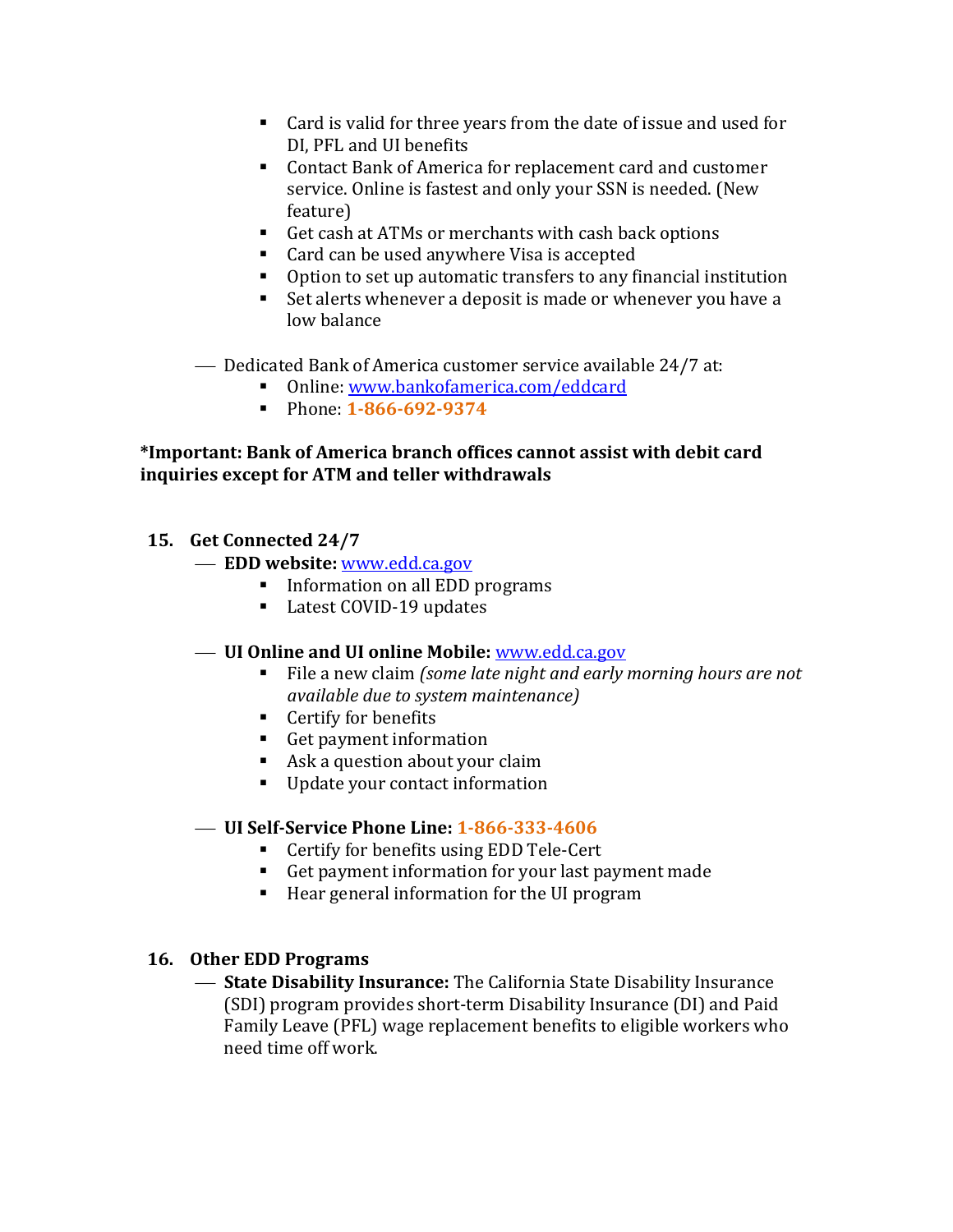- Card is valid for three years from the date of issue and used for DI, PFL and UI benefits
- Contact Bank of America for replacement card and customer service. Online is fastest and only your SSN is needed. (New feature)
- Get cash at ATMs or merchants with cash back options
- Card can be used anywhere Visa is accepted
- Option to set up automatic transfers to any financial institution
- Set alerts whenever a deposit is made or whenever you have a low balance
- Dedicated Bank of America customer service available 24/7 at:
	- Online: [www.bankofamerica.com/eddcard](http://www.bankofamerica.com/eddcard)
	- Phone: **1-866-692-9374**

#### **\*Important: Bank of America branch offices cannot assist with debit card inquiries except for ATM and teller withdrawals**

#### **15. Get Connected 24/7**

- ⎯ **EDD website:** [www.edd.ca.gov](http://www.edd.ca.gov/)
	- Information on all EDD programs
	- Latest COVID-19 updates

#### ⎯ **UI Online and UI online Mobile:** [www.edd.ca.gov](http://www.edd.ca.gov/)

- File a new claim *(some late night and early morning hours are not available due to system maintenance)*
- Certify for benefits
- Get payment information
- Ask a question about your claim
- Update your contact information

#### ⎯ **UI Self-Service Phone Line: 1-866-333-4606**

- Certify for benefits using EDD Tele-Cert
- Get payment information for your last payment made
- Hear general information for the UI program

#### **16. Other EDD Programs**

⎯ **State Disability Insurance:** The California State Disability Insurance (SDI) program provides short-term Disability Insurance (DI) and Paid Family Leave (PFL) wage replacement benefits to eligible workers who need time off work.